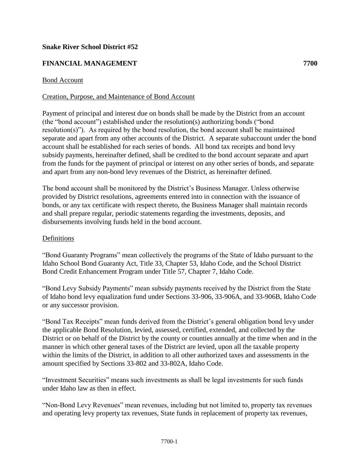### **Snake River School District #52**

# **FINANCIAL MANAGEMENT 7700**

### Bond Account

### Creation, Purpose, and Maintenance of Bond Account

Payment of principal and interest due on bonds shall be made by the District from an account (the "bond account") established under the resolution(s) authorizing bonds ("bond resolution(s)"). As required by the bond resolution, the bond account shall be maintained separate and apart from any other accounts of the District. A separate subaccount under the bond account shall be established for each series of bonds. All bond tax receipts and bond levy subsidy payments, hereinafter defined, shall be credited to the bond account separate and apart from the funds for the payment of principal or interest on any other series of bonds, and separate and apart from any non-bond levy revenues of the District, as hereinafter defined.

The bond account shall be monitored by the District's Business Manager. Unless otherwise provided by District resolutions, agreements entered into in connection with the issuance of bonds, or any tax certificate with respect thereto, the Business Manager shall maintain records and shall prepare regular, periodic statements regarding the investments, deposits, and disbursements involving funds held in the bond account.

#### Definitions

"Bond Guaranty Programs" mean collectively the programs of the State of Idaho pursuant to the Idaho School Bond Guaranty Act, Title 33, Chapter 53, Idaho Code, and the School District Bond Credit Enhancement Program under Title 57, Chapter 7, Idaho Code.

"Bond Levy Subsidy Payments" mean subsidy payments received by the District from the State of Idaho bond levy equalization fund under Sections 33-906, 33-906A, and 33-906B, Idaho Code or any successor provision.

"Bond Tax Receipts" mean funds derived from the District's general obligation bond levy under the applicable Bond Resolution, levied, assessed, certified, extended, and collected by the District or on behalf of the District by the county or counties annually at the time when and in the manner in which other general taxes of the District are levied, upon all the taxable property within the limits of the District, in addition to all other authorized taxes and assessments in the amount specified by Sections 33-802 and 33-802A, Idaho Code.

"Investment Securities" means such investments as shall be legal investments for such funds under Idaho law as then in effect.

"Non-Bond Levy Revenues" mean revenues, including but not limited to, property tax revenues and operating levy property tax revenues, State funds in replacement of property tax revenues,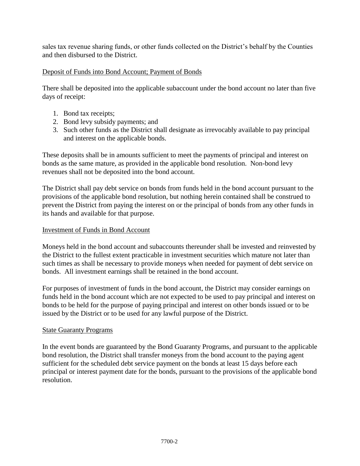sales tax revenue sharing funds, or other funds collected on the District's behalf by the Counties and then disbursed to the District.

# Deposit of Funds into Bond Account; Payment of Bonds

There shall be deposited into the applicable subaccount under the bond account no later than five days of receipt:

- 1. Bond tax receipts;
- 2. Bond levy subsidy payments; and
- 3. Such other funds as the District shall designate as irrevocably available to pay principal and interest on the applicable bonds.

These deposits shall be in amounts sufficient to meet the payments of principal and interest on bonds as the same mature, as provided in the applicable bond resolution. Non-bond levy revenues shall not be deposited into the bond account.

The District shall pay debt service on bonds from funds held in the bond account pursuant to the provisions of the applicable bond resolution, but nothing herein contained shall be construed to prevent the District from paying the interest on or the principal of bonds from any other funds in its hands and available for that purpose.

## Investment of Funds in Bond Account

Moneys held in the bond account and subaccounts thereunder shall be invested and reinvested by the District to the fullest extent practicable in investment securities which mature not later than such times as shall be necessary to provide moneys when needed for payment of debt service on bonds. All investment earnings shall be retained in the bond account.

For purposes of investment of funds in the bond account, the District may consider earnings on funds held in the bond account which are not expected to be used to pay principal and interest on bonds to be held for the purpose of paying principal and interest on other bonds issued or to be issued by the District or to be used for any lawful purpose of the District.

## State Guaranty Programs

In the event bonds are guaranteed by the Bond Guaranty Programs, and pursuant to the applicable bond resolution, the District shall transfer moneys from the bond account to the paying agent sufficient for the scheduled debt service payment on the bonds at least 15 days before each principal or interest payment date for the bonds, pursuant to the provisions of the applicable bond resolution.